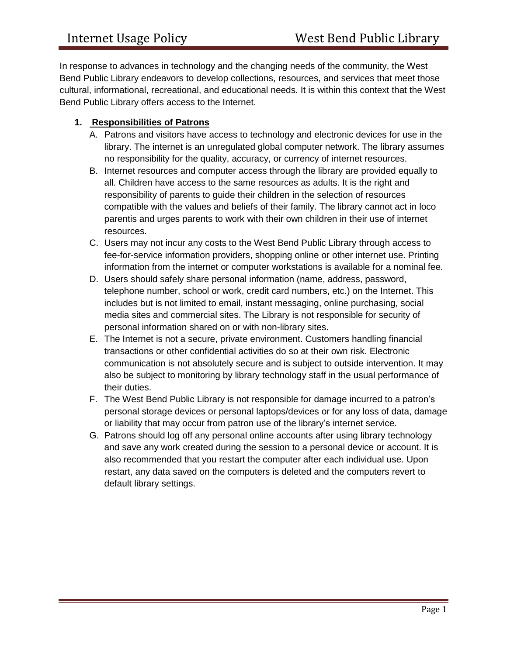In response to advances in technology and the changing needs of the community, the West Bend Public Library endeavors to develop collections, resources, and services that meet those cultural, informational, recreational, and educational needs. It is within this context that the West Bend Public Library offers access to the Internet.

# **1. Responsibilities of Patrons**

- A. Patrons and visitors have access to technology and electronic devices for use in the library. The internet is an unregulated global computer network. The library assumes no responsibility for the quality, accuracy, or currency of internet resources.
- B. Internet resources and computer access through the library are provided equally to all. Children have access to the same resources as adults. It is the right and responsibility of parents to guide their children in the selection of resources compatible with the values and beliefs of their family. The library cannot act in loco parentis and urges parents to work with their own children in their use of internet resources.
- C. Users may not incur any costs to the West Bend Public Library through access to fee-for-service information providers, shopping online or other internet use. Printing information from the internet or computer workstations is available for a nominal fee.
- D. Users should safely share personal information (name, address, password, telephone number, school or work, credit card numbers, etc.) on the Internet. This includes but is not limited to email, instant messaging, online purchasing, social media sites and commercial sites. The Library is not responsible for security of personal information shared on or with non-library sites.
- E. The Internet is not a secure, private environment. Customers handling financial transactions or other confidential activities do so at their own risk. Electronic communication is not absolutely secure and is subject to outside intervention. It may also be subject to monitoring by library technology staff in the usual performance of their duties.
- F. The West Bend Public Library is not responsible for damage incurred to a patron's personal storage devices or personal laptops/devices or for any loss of data, damage or liability that may occur from patron use of the library's internet service.
- G. Patrons should log off any personal online accounts after using library technology and save any work created during the session to a personal device or account. It is also recommended that you restart the computer after each individual use. Upon restart, any data saved on the computers is deleted and the computers revert to default library settings.